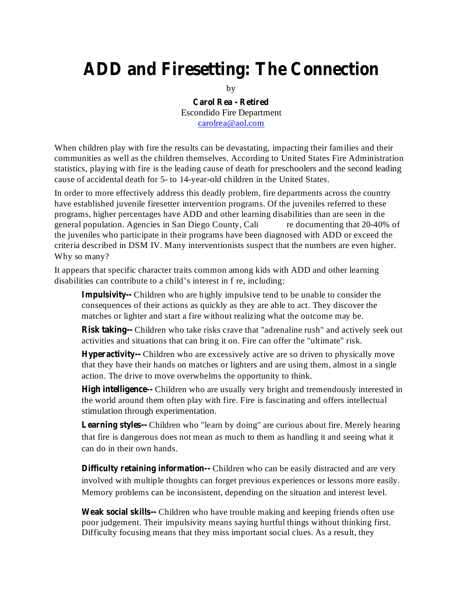## **ADD and Firesetting: The Connection**

by

**Carol Rea - Retired** Escondido Fire Department carolrea@aol.com

When children play with fire the results can be devastating, impacting their families and their communities as well as the children themselves. According to United States Fire Administration statistics, playing with fire is the leading cause of death for preschoolers and the second leading cause of accidental death for 5- to 14-year-old children in the United States.

In order to more effectively address this deadly problem, fire departments across the country have established juvenile firesetter intervention programs. Of the juveniles referred to these programs, higher percentages have ADD and other learning disabilities than are seen in the general population. Agencies in San Diego County, Cali re documenting that 20-40% of the juveniles who participate in their programs have been diagnosed with ADD or exceed the criteria described in DSM IV. Many interventionists suspect that the numbers are even higher. Why so many?

It appears that specific character traits common among kids with ADD and other learning disabilities can contribute to a child's interest in f re, including:

**Impulsivity--** Children who are highly impulsive tend to be unable to consider the consequences of their actions as quickly as they are able to act. They discover the matches or lighter and start a fire without realizing what the outcome may be.

**Risk taking--** Children who take risks crave that "adrenaline rush" and actively seek out activities and situations that can bring it on. Fire can offer the "ultimate" risk.

**Hyperactivity--** Children who are excessively active are so driven to physically move that they have their hands on matches or lighters and are using them, almost in a single action. The drive to move overwhelms the opportunity to think.

**High intelligence--** Children who are usually very bright and tremendously interested in the world around them often play with fire. Fire is fascinating and offers intellectual stimulation through experimentation.

**Learning styles--** Children who "learn by doing" are curious about fire. Merely hearing that fire is dangerous does not mean as much to them as handling it and seeing what it can do in their own hands.

**Difficulty retaining information--** Children who can be easily distracted and are very involved with multiple thoughts can forget previous experiences or lessons more easily. Memory problems can be inconsistent, depending on the situation and interest level.

**Weak social skills--** Children who have trouble making and keeping friends often use poor judgement. Their impulsivity means saying hurtful things without thinking first. Difficulty focusing means that they miss important social clues. As a result, they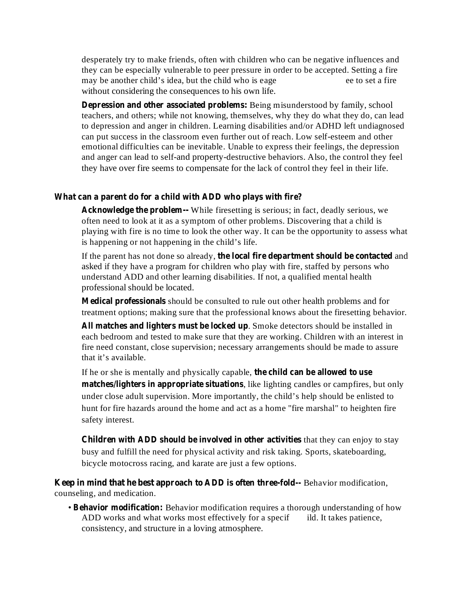desperately try to make friends, often with children who can be negative influences and they can be especially vulnerable to peer pressure in order to be accepted. Setting a fire may be another child's idea, but the child who is eage ee to set a fire without considering the consequences to his own life.

**Depression and other associated problems:** Being misunderstood by family, school teachers, and others; while not knowing, themselves, why they do what they do, can lead to depression and anger in children. Learning disabilities and/or ADHD left undiagnosed can put success in the classroom even further out of reach. Low self-esteem and other emotional difficulties can be inevitable. Unable to express their feelings, the depression and anger can lead to self-and property-destructive behaviors. Also, the control they feel they have over fire seems to compensate for the lack of control they feel in their life.

## **What can a parent do for a child with ADD who plays with fire?**

Acknowledge the problem -- While firesetting is serious; in fact, deadly serious, we often need to look at it as a symptom of other problems. Discovering that a child is playing with fire is no time to look the other way. It can be the opportunity to assess what is happening or not happening in the child's life.

If the parent has not done so already, the local fire department should be contacted and asked if they have a program for children who play with fire, staffed by persons who understand ADD and other learning disabilities. If not, a qualified mental health professional should be located.

Medical professionals should be consulted to rule out other health problems and for treatment options; making sure that the professional knows about the firesetting behavior.

. Smoke detectors should be installed in **All matches and lighters must be locked up** each bedroom and tested to make sure that they are working. Children with an interest in fire need constant, close supervision; necessary arrangements should be made to assure that it's available.

If he or she is mentally and physically capable, **the child can be allowed to use matches/lighters in appropriate situations**, like lighting candles or campfires, but only under close adult supervision. More importantly, the child's help should be enlisted to hunt for fire hazards around the home and act as a home "fire marshal" to heighten fire safety interest.

**Children** with ADD should be involved in other activities that they can enjoy to stay busy and fulfill the need for physical activity and risk taking. Sports, skateboarding, bicycle motocross racing, and karate are just a few options.

**Keep** in mind that he best approach to ADD is often three-fold-- Behavior modification, counseling, and medication.

• Behavior modification: Behavior modification requires a thorough understanding of how ADD works and what works most effectively for a specif ild. It takes patience, consistency, and structure in a loving atmosphere.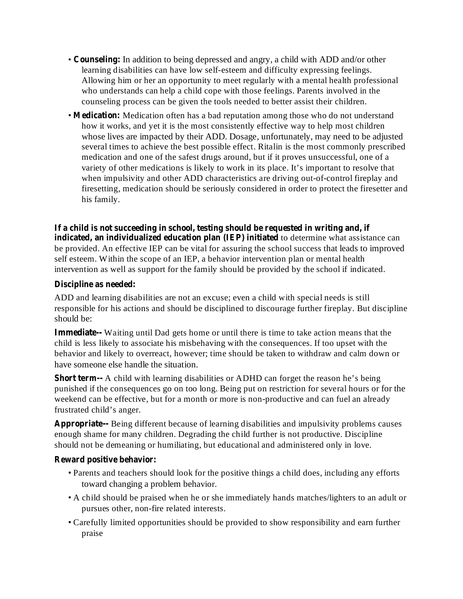- Counseling: In addition to being depressed and angry, a child with ADD and/or other learning disabilities can have low self-esteem and difficulty expressing feelings. Allowing him or her an opportunity to meet regularly with a mental health professional who understands can help a child cope with those feelings. Parents involved in the counseling process can be given the tools needed to better assist their children.
- Medication: Medication often has a bad reputation among those who do not understand how it works, and yet it is the most consistently effective way to help most children whose lives are impacted by their ADD. Dosage, unfortunately, may need to be adjusted several times to achieve the best possible effect. Ritalin is the most commonly prescribed medication and one of the safest drugs around, but if it proves unsuccessful, one of a variety of other medications is likely to work in its place. It's important to resolve that when impulsivity and other ADD characteristics are driving out-of-control fireplay and firesetting, medication should be seriously considered in order to protect the firesetter and his family.

**indicated, an individualized education plan (IEP) initiated** to determine what assistance can be provided. An effective IEP can be vital for assuring the school success that leads to improved self esteem. Within the scope of an IEP, a behavior intervention plan or mental health intervention as well as support for the family should be provided by the school if indicated. **If a child is not succeeding in school, testing should be requested in writing and, if**

## **Discipline as needed:**

ADD and learning disabilities are not an excuse; even a child with special needs is still responsible for his actions and should be disciplined to discourage further fireplay. But discipline should be:

Immediate-- Waiting until Dad gets home or until there is time to take action means that the child is less likely to associate his misbehaving with the consequences. If too upset with the behavior and likely to overreact, however; time should be taken to withdraw and calm down or have someone else handle the situation.

**Short term—** A child with learning disabilities or ADHD can forget the reason he's being punished if the consequences go on too long. Being put on restriction for several hours or for the weekend can be effective, but for a month or more is non-productive and can fuel an already frustrated child's anger.

Appropriate-- Being different because of learning disabilities and impulsivity problems causes enough shame for many children. Degrading the child further is not productive. Discipline should not be demeaning or humiliating, but educational and administered only in love.

## **Reward positive behavior:**

- Parents and teachers should look for the positive things a child does, including any efforts toward changing a problem behavior.
- A child should be praised when he or she immediately hands matches/lighters to an adult or pursues other, non-fire related interests.
- Carefully limited opportunities should be provided to show responsibility and earn further praise